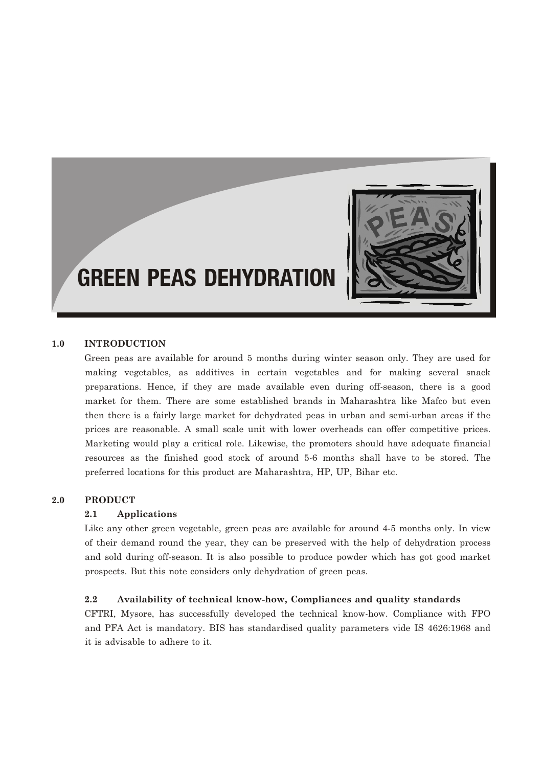

### **1.0 INTRODUCTION**

Green peas are available for around 5 months during winter season only. They are used for making vegetables, as additives in certain vegetables and for making several snack preparations. Hence, if they are made available even during off-season, there is a good market for them. There are some established brands in Maharashtra like Mafco but even then there is a fairly large market for dehydrated peas in urban and semi-urban areas if the prices are reasonable. A small scale unit with lower overheads can offer competitive prices. Marketing would play a critical role. Likewise, the promoters should have adequate financial resources as the finished good stock of around 5-6 months shall have to be stored. The preferred locations for this product are Maharashtra, HP, UP, Bihar etc.

## **2.0 PRODUCT**

#### **2.1 Applications**

Like any other green vegetable, green peas are available for around 4-5 months only. In view of their demand round the year, they can be preserved with the help of dehydration process and sold during off-season. It is also possible to produce powder which has got good market prospects. But this note considers only dehydration of green peas.

#### **2.2 Availability of technical know-how, Compliances and quality standards**

CFTRI, Mysore, has successfully developed the technical know-how. Compliance with FPO and PFA Act is mandatory. BIS has standardised quality parameters vide IS 4626:1968 and it is advisable to adhere to it.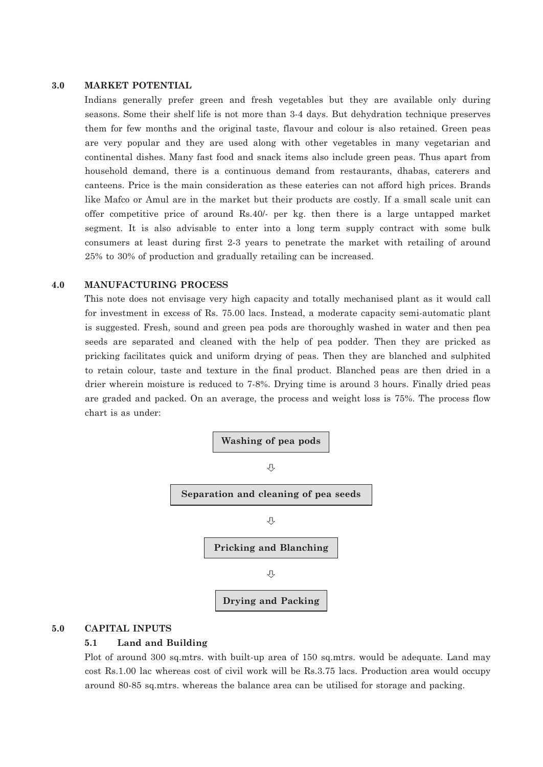#### **3.0 MARKET POTENTIAL**

Indians generally prefer green and fresh vegetables but they are available only during seasons. Some their shelf life is not more than 3-4 days. But dehydration technique preserves them for few months and the original taste, flavour and colour is also retained. Green peas are very popular and they are used along with other vegetables in many vegetarian and continental dishes. Many fast food and snack items also include green peas. Thus apart from household demand, there is a continuous demand from restaurants, dhabas, caterers and canteens. Price is the main consideration as these eateries can not afford high prices. Brands like Mafco or Amul are in the market but their products are costly. If a small scale unit can offer competitive price of around Rs.40/- per kg. then there is a large untapped market segment. It is also advisable to enter into a long term supply contract with some bulk consumers at least during first 2-3 years to penetrate the market with retailing of around 25% to 30% of production and gradually retailing can be increased.

#### **4.0 MANUFACTURING PROCESS**

This note does not envisage very high capacity and totally mechanised plant as it would call for investment in excess of Rs. 75.00 lacs. Instead, a moderate capacity semi-automatic plant is suggested. Fresh, sound and green pea pods are thoroughly washed in water and then pea seeds are separated and cleaned with the help of pea podder. Then they are pricked as pricking facilitates quick and uniform drying of peas. Then they are blanched and sulphited to retain colour, taste and texture in the final product. Blanched peas are then dried in a drier wherein moisture is reduced to 7-8%. Drying time is around 3 hours. Finally dried peas are graded and packed. On an average, the process and weight loss is 75%. The process flow chart is as under:



#### **5.0 CAPITAL INPUTS**

#### **5.1 Land and Building**

Plot of around 300 sq.mtrs. with built-up area of 150 sq.mtrs. would be adequate. Land may cost Rs.1.00 lac whereas cost of civil work will be Rs.3.75 lacs. Production area would occupy around 80-85 sq.mtrs. whereas the balance area can be utilised for storage and packing.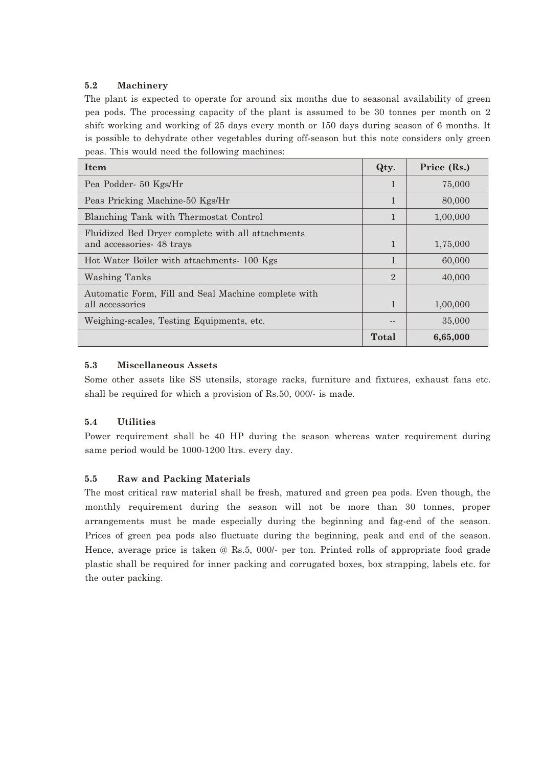### **5.2 Machinery**

The plant is expected to operate for around six months due to seasonal availability of green pea pods. The processing capacity of the plant is assumed to be 30 tonnes per month on 2 shift working and working of 25 days every month or 150 days during season of 6 months. It is possible to dehydrate other vegetables during off-season but this note considers only green peas. This would need the following machines:

| Item                                                                          | Qty.           | Price (Rs.) |
|-------------------------------------------------------------------------------|----------------|-------------|
| Pea Podder- 50 Kgs/Hr                                                         | 1              | 75,000      |
| Peas Pricking Machine-50 Kgs/Hr                                               | 1              | 80,000      |
| Blanching Tank with Thermostat Control                                        | 1              | 1,00,000    |
| Fluidized Bed Dryer complete with all attachments<br>and accessories 48 trays | $\mathbf{1}$   | 1,75,000    |
| Hot Water Boiler with attachments-100 Kgs                                     | 1              | 60,000      |
| Washing Tanks                                                                 | $\mathfrak{D}$ | 40,000      |
| Automatic Form, Fill and Seal Machine complete with<br>all accessories        | $\mathbf{1}$   | 1,00,000    |
| Weighing-scales, Testing Equipments, etc.                                     |                | 35,000      |
|                                                                               | Total          | 6,65,000    |

### **5.3 Miscellaneous Assets**

Some other assets like SS utensils, storage racks, furniture and fixtures, exhaust fans etc. shall be required for which a provision of Rs.50, 000/- is made.

## **5.4 Utilities**

Power requirement shall be 40 HP during the season whereas water requirement during same period would be 1000-1200 ltrs. every day.

## **5.5 Raw and Packing Materials**

The most critical raw material shall be fresh, matured and green pea pods. Even though, the monthly requirement during the season will not be more than 30 tonnes, proper arrangements must be made especially during the beginning and fag-end of the season. Prices of green pea pods also fluctuate during the beginning, peak and end of the season. Hence, average price is taken @ Rs.5, 000/- per ton. Printed rolls of appropriate food grade plastic shall be required for inner packing and corrugated boxes, box strapping, labels etc. for the outer packing.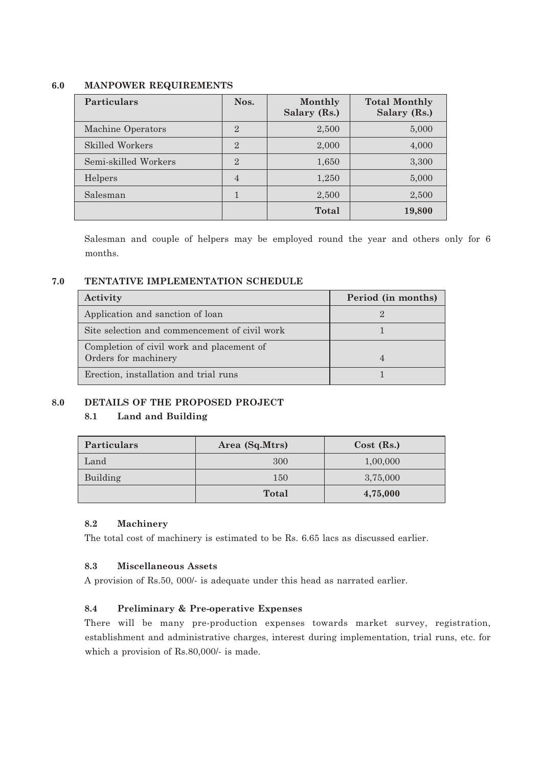### **6.0 MANPOWER REQUIREMENTS**

| <b>Particulars</b>   | Nos.           | Monthly<br>Salary (Rs.) | <b>Total Monthly</b><br>Salary (Rs.) |
|----------------------|----------------|-------------------------|--------------------------------------|
| Machine Operators    | $\overline{2}$ | 2,500                   | 5,000                                |
| Skilled Workers      | $\overline{2}$ | 2,000                   | 4,000                                |
| Semi-skilled Workers | $\overline{2}$ | 1,650                   | 3,300                                |
| Helpers              | $\overline{4}$ | 1,250                   | 5,000                                |
| Salesman             | 1              | 2,500                   | 2,500                                |
|                      |                | Total                   | 19,800                               |

Salesman and couple of helpers may be employed round the year and others only for 6 months.

### **7.0 TENTATIVE IMPLEMENTATION SCHEDULE**

| Period (in months) |
|--------------------|
|                    |
|                    |
|                    |
|                    |
|                    |
|                    |

## **8.0 DETAILS OF THE PROPOSED PROJECT**

## **8.1 Land and Building**

| <b>Particulars</b> | Area (Sq.Mtrs) | $Cost$ (Rs.) |  |
|--------------------|----------------|--------------|--|
| Land               | 300            | 1,00,000     |  |
| Building           | 150            | 3,75,000     |  |
|                    | <b>Total</b>   | 4,75,000     |  |

### **8.2 Machinery**

The total cost of machinery is estimated to be Rs. 6.65 lacs as discussed earlier.

#### **8.3 Miscellaneous Assets**

A provision of Rs.50, 000/- is adequate under this head as narrated earlier.

## **8.4 Preliminary & Pre-operative Expenses**

There will be many pre-production expenses towards market survey, registration, establishment and administrative charges, interest during implementation, trial runs, etc. for which a provision of Rs.80,000/- is made.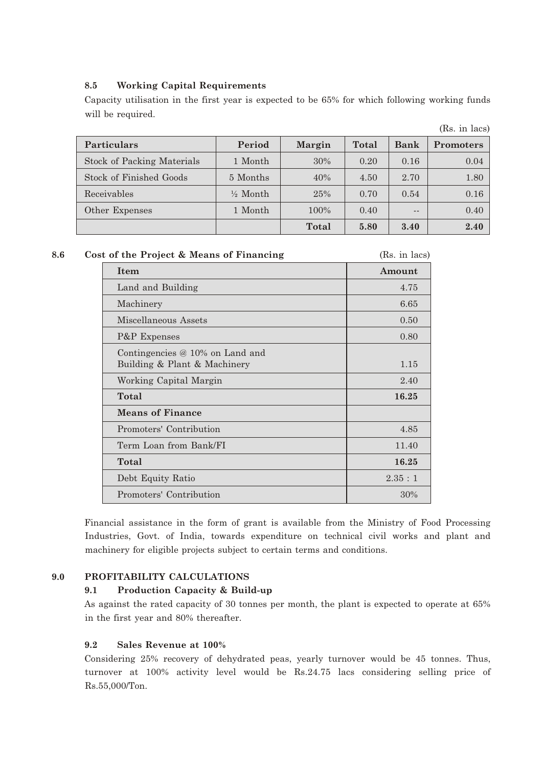### **8.5 Working Capital Requirements**

Capacity utilisation in the first year is expected to be 65% for which following working funds will be required.

|                                   |                     |               |       |      | (Rs. in lacs)    |
|-----------------------------------|---------------------|---------------|-------|------|------------------|
| <b>Particulars</b>                | Period              | <b>Margin</b> | Total | Bank | <b>Promoters</b> |
| <b>Stock of Packing Materials</b> | 1 Month             | 30%           | 0.20  | 0.16 | 0.04             |
| Stock of Finished Goods           | 5 Months            | 40%           | 4.50  | 2.70 | 1.80             |
| Receivables                       | $\frac{1}{2}$ Month | 25%           | 0.70  | 0.54 | 0.16             |
| Other Expenses                    | 1 Month             | $100\%$       | 0.40  | $ -$ | 0.40             |
|                                   |                     | Total         | 5.80  | 3.40 | 2.40             |

**(Rs. in lacs)** 

| $_{\rm 8.6}$ |  | Cost of the Project & Means of Financing |  |
|--------------|--|------------------------------------------|--|
|--------------|--|------------------------------------------|--|

| <b>Item</b>                                                       | Amount |
|-------------------------------------------------------------------|--------|
| Land and Building                                                 | 4.75   |
| Machinery                                                         | 6.65   |
| Miscellaneous Assets                                              | 0.50   |
| P&P Expenses                                                      | 0.80   |
| Contingencies $@10\%$ on Land and<br>Building & Plant & Machinery | 1.15   |
| Working Capital Margin                                            | 2.40   |
| Total                                                             | 16.25  |
| <b>Means of Finance</b>                                           |        |
| Promoters' Contribution                                           | 4.85   |
| Term Loan from Bank/FI                                            | 11.40  |
| Total                                                             | 16.25  |
| Debt Equity Ratio                                                 | 2.35:1 |
| Promoters' Contribution                                           | 30%    |

Financial assistance in the form of grant is available from the Ministry of Food Processing Industries, Govt. of India, towards expenditure on technical civil works and plant and machinery for eligible projects subject to certain terms and conditions.

#### **9.0 PROFITABILITY CALCULATIONS**

#### **9.1 Production Capacity & Build-up**

As against the rated capacity of 30 tonnes per month, the plant is expected to operate at 65% in the first year and 80% thereafter.

#### **9.2 Sales Revenue at 100%**

Considering 25% recovery of dehydrated peas, yearly turnover would be 45 tonnes. Thus, turnover at 100% activity level would be Rs.24.75 lacs considering selling price of Rs.55,000/Ton.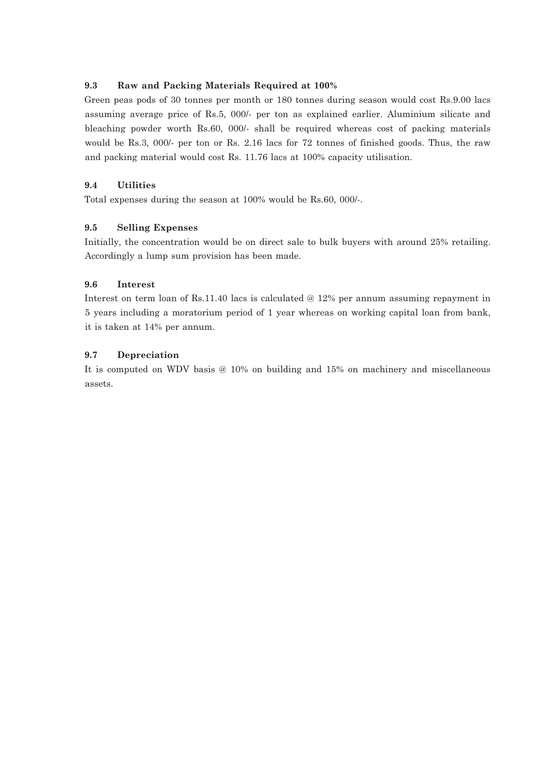### **9.3 Raw and Packing Materials Required at 100%**

Green peas pods of 30 tonnes per month or 180 tonnes during season would cost Rs.9.00 lacs assuming average price of Rs.5, 000/- per ton as explained earlier. Aluminium silicate and bleaching powder worth Rs.60, 000/- shall be required whereas cost of packing materials would be Rs.3, 000/- per ton or Rs. 2.16 lacs for 72 tonnes of finished goods. Thus, the raw and packing material would cost Rs. 11.76 lacs at 100% capacity utilisation.

#### **9.4 Utilities**

Total expenses during the season at 100% would be Rs.60, 000/-.

### **9.5 Selling Expenses**

Initially, the concentration would be on direct sale to bulk buyers with around 25% retailing. Accordingly a lump sum provision has been made.

### **9.6 Interest**

Interest on term loan of Rs.11.40 lacs is calculated @ 12% per annum assuming repayment in 5 years including a moratorium period of 1 year whereas on working capital loan from bank, it is taken at 14% per annum.

### **9.7 Depreciation**

It is computed on WDV basis @ 10% on building and 15% on machinery and miscellaneous assets.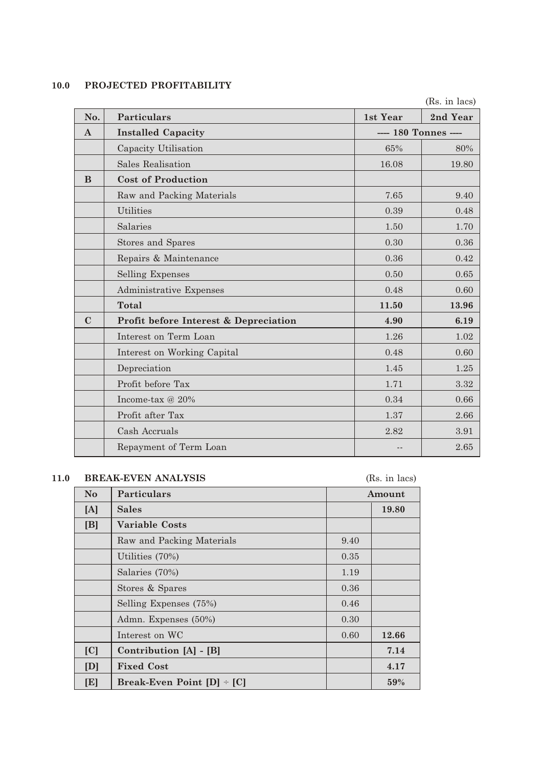## **10.0 PROJECTED PROFITABILITY**

|              |                                       |                      | (Rs. in lacs) |
|--------------|---------------------------------------|----------------------|---------------|
| No.          | <b>Particulars</b>                    | 1st Year             | 2nd Year      |
| $\mathbf{A}$ | <b>Installed Capacity</b>             | ---- 180 Tonnes ---- |               |
|              | Capacity Utilisation                  | 65%                  | 80%           |
|              | <b>Sales Realisation</b>              | 16.08                | 19.80         |
| <sub>B</sub> | <b>Cost of Production</b>             |                      |               |
|              | Raw and Packing Materials             | 7.65                 | 9.40          |
|              | <b>Utilities</b>                      | 0.39                 | 0.48          |
|              | Salaries                              | 1.50                 | 1.70          |
|              | <b>Stores and Spares</b>              | 0.30                 | 0.36          |
|              | Repairs & Maintenance                 | 0.36                 | 0.42          |
|              | <b>Selling Expenses</b>               | 0.50                 | 0.65          |
|              | Administrative Expenses               | 0.48                 | 0.60          |
|              | <b>Total</b>                          | 11.50                | 13.96         |
| $\mathbf C$  | Profit before Interest & Depreciation | 4.90                 | 6.19          |
|              | Interest on Term Loan                 | 1.26                 | 1.02          |
|              | Interest on Working Capital           | 0.48                 | 0.60          |
|              | Depreciation                          | 1.45                 | 1.25          |
|              | Profit before Tax                     | 1.71                 | 3.32          |
|              | Income-tax $@20\%$                    | 0.34                 | 0.66          |
|              | Profit after Tax                      | 1.37                 | 2.66          |
|              | Cash Accruals                         | 2.82                 | 3.91          |
|              | Repayment of Term Loan                |                      | 2.65          |
|              |                                       |                      |               |

# **11.0 BREAK-EVEN ANALYSIS** (Rs. in lacs)

| $\mathbf{N}\mathbf{o}$ | <b>Particulars</b>             |      | Amount |
|------------------------|--------------------------------|------|--------|
| [A]                    | <b>Sales</b>                   |      | 19.80  |
| [B]                    | <b>Variable Costs</b>          |      |        |
|                        | Raw and Packing Materials      | 9.40 |        |
|                        | Utilities (70%)                | 0.35 |        |
|                        | Salaries (70%)                 | 1.19 |        |
|                        | Stores & Spares                | 0.36 |        |
|                        | Selling Expenses (75%)         | 0.46 |        |
|                        | Admn. Expenses (50%)           | 0.30 |        |
|                        | Interest on WC                 | 0.60 | 12.66  |
| [C]                    | Contribution [A] - [B]         |      | 7.14   |
| [D]                    | <b>Fixed Cost</b>              |      | 4.17   |
| [E]                    | Break-Even Point $[D]$ + $[C]$ |      | 59%    |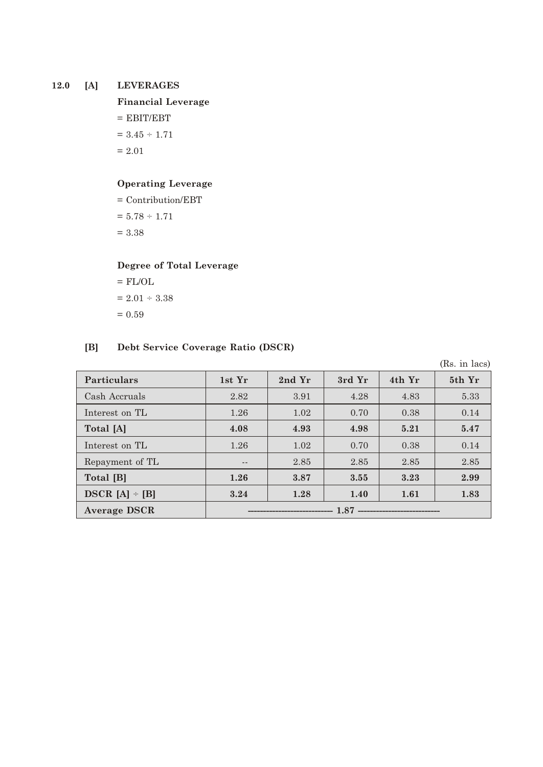### **12.0 [A] LEVERAGES**

**Financial Leverage**

 $=$  EBIT/EBT

 $= 3.45 \div 1.71$ 

 $= 2.01$ 

### **Operating Leverage**

= Contribution/EBT

 $= 5.78 \div 1.71$ 

= 3.38

# **Degree of Total Leverage**

 $=$  FL/OL  $= 2.01 \div 3.38$  $= 0.59$ 

# **[B] Debt Service Coverage Ratio (DSCR)**

(Rs. in lacs)

| <b>Particulars</b>  | 1st Yr                     | 2nd Yr | 3rd Yr | 4th Yr | 5th Yr |
|---------------------|----------------------------|--------|--------|--------|--------|
| Cash Accruals       | 2.82                       | 3.91   | 4.28   | 4.83   | 5.33   |
| Interest on TL      | 1.26                       | 1.02   | 0.70   | 0.38   | 0.14   |
| Total [A]           | 4.08                       | 4.93   | 4.98   | 5.21   | 5.47   |
| Interest on TL      | 1.26                       | 1.02   | 0.70   | 0.38   | 0.14   |
| Repayment of TL     | $- -$                      | 2.85   | 2.85   | 2.85   | 2.85   |
| Total [B]           | 1.26                       | 3.87   | 3.55   | 3.23   | 2.99   |
| $DSCR [A] - [B]$    | 3.24                       | 1.28   | 1.40   | 1.61   | 1.83   |
| <b>Average DSCR</b> | $1.87$ ------------------- |        |        |        |        |